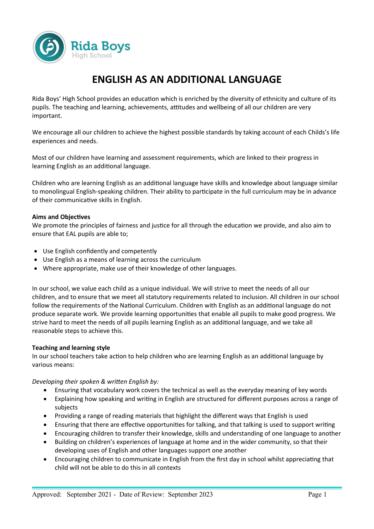

# **ENGLISH AS AN ADDITIONAL LANGUAGE**

Rida Boys' High School provides an education which is enriched by the diversity of ethnicity and culture of its pupils. The teaching and learning, achievements, attitudes and wellbeing of all our children are very important.

We encourage all our children to achieve the highest possible standards by taking account of each Childs's life experiences and needs.

Most of our children have learning and assessment requirements, which are linked to their progress in learning English as an additional language.

Children who are learning English as an additional language have skills and knowledge about language similar to monolingual English-speaking children. Their ability to participate in the full curriculum may be in advance of their communicative skills in English.

# **Aims and Objectives**

We promote the principles of fairness and justice for all through the education we provide, and also aim to ensure that EAL pupils are able to;

- Use English confidently and competently
- Use English as a means of learning across the curriculum
- Where appropriate, make use of their knowledge of other languages.

In our school, we value each child as a unique individual. We will strive to meet the needs of all our children, and to ensure that we meet all statutory requirements related to inclusion. All children in our school follow the requirements of the National Curriculum. Children with English as an additional language do not produce separate work. We provide learning opportunities that enable all pupils to make good progress. We strive hard to meet the needs of all pupils learning English as an additional language, and we take all reasonable steps to achieve this.

# **Teaching and learning style**

In our school teachers take action to help children who are learning English as an additional language by various means:

# *Developing their spoken & written English by:*

- Ensuring that vocabulary work covers the technical as well as the everyday meaning of key words
- Explaining how speaking and writing in English are structured for different purposes across a range of subjects
- Providing a range of reading materials that highlight the different ways that English is used
- Ensuring that there are effective opportunities for talking, and that talking is used to support writing
- Encouraging children to transfer their knowledge, skills and understanding of one language to another
- Building on children's experiences of language at home and in the wider community, so that their developing uses of English and other languages support one another
- Encouraging children to communicate in English from the first day in school whilst appreciating that child will not be able to do this in all contexts